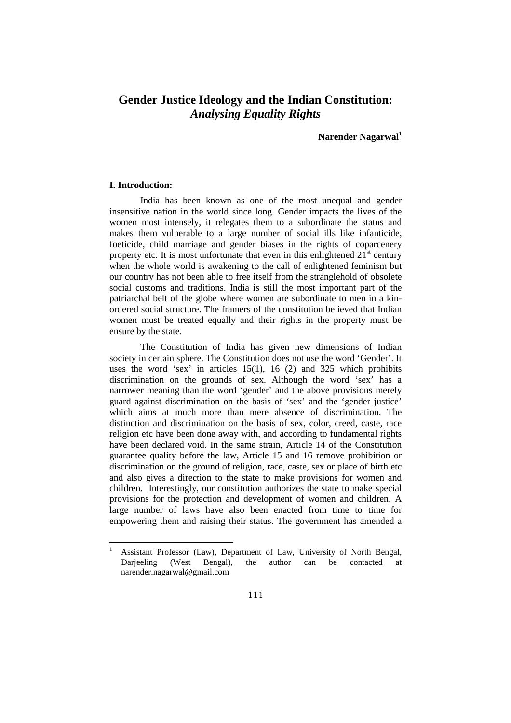# **Gender Justice Ideology and the Indian Constitution:**  *Analysing Equality Rights*

**Narender Nagarwal<sup>1</sup>**

# **I. Introduction:**

1

India has been known as one of the most unequal and gender insensitive nation in the world since long. Gender impacts the lives of the women most intensely, it relegates them to a subordinate the status and makes them vulnerable to a large number of social ills like infanticide, foeticide, child marriage and gender biases in the rights of coparcenery property etc. It is most unfortunate that even in this enlightened  $21<sup>st</sup>$  century when the whole world is awakening to the call of enlightened feminism but our country has not been able to free itself from the stranglehold of obsolete social customs and traditions. India is still the most important part of the patriarchal belt of the globe where women are subordinate to men in a kinordered social structure. The framers of the constitution believed that Indian women must be treated equally and their rights in the property must be ensure by the state.

The Constitution of India has given new dimensions of Indian society in certain sphere. The Constitution does not use the word 'Gender'. It uses the word 'sex' in articles 15(1), 16 (2) and 325 which prohibits discrimination on the grounds of sex. Although the word 'sex' has a narrower meaning than the word 'gender' and the above provisions merely guard against discrimination on the basis of 'sex' and the 'gender justice' which aims at much more than mere absence of discrimination. The distinction and discrimination on the basis of sex, color, creed, caste, race religion etc have been done away with, and according to fundamental rights have been declared void. In the same strain, Article 14 of the Constitution guarantee quality before the law, Article 15 and 16 remove prohibition or discrimination on the ground of religion, race, caste, sex or place of birth etc and also gives a direction to the state to make provisions for women and children. Interestingly, our constitution authorizes the state to make special provisions for the protection and development of women and children. A large number of laws have also been enacted from time to time for empowering them and raising their status. The government has amended a

Assistant Professor (Law), Department of Law, University of North Bengal, Darieeling (West Bengal), the author can be contacted at narender.nagarwal@gmail.com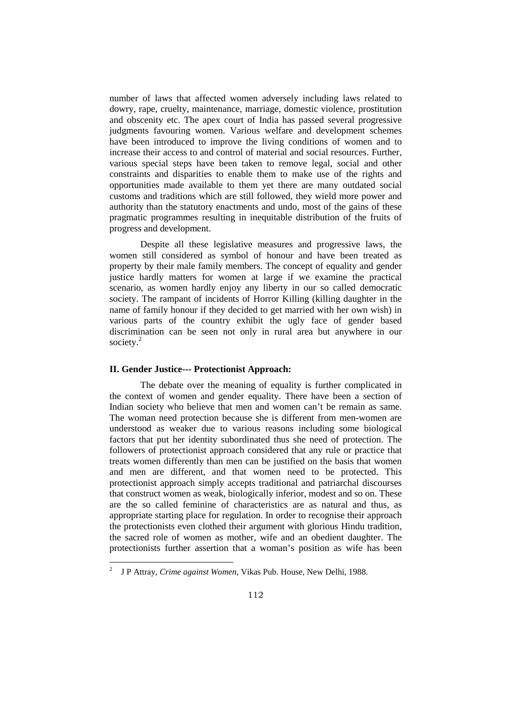number of laws that affected women adversely including laws related to dowry, rape, cruelty, maintenance, marriage, domestic violence, prostitution and obscenity etc. The apex court of India has passed several progressive judgments favouring women. Various welfare and development schemes have been introduced to improve the living conditions of women and to increase their access to and control of material and social resources. Further, various special steps have been taken to remove legal, social and other constraints and disparities to enable them to make use of the rights and opportunities made available to them yet there are many outdated social customs and traditions which are still followed, they wield more power and authority than the statutory enactments and undo, most of the gains of these pragmatic programmes resulting in inequitable distribution of the fruits of progress and development.

 Despite all these legislative measures and progressive laws, the women still considered as symbol of honour and have been treated as property by their male family members. The concept of equality and gender justice hardly matters for women at large if we examine the practical scenario, as women hardly enjoy any liberty in our so called democratic society. The rampant of incidents of Horror Killing (killing daughter in the name of family honour if they decided to get married with her own wish) in various parts of the country exhibit the ugly face of gender based discrimination can be seen not only in rural area but anywhere in our society. $2$ 

# **II. Gender Justice--- Protectionist Approach:**

 $\overline{a}$ 

The debate over the meaning of equality is further complicated in the context of women and gender equality. There have been a section of Indian society who believe that men and women can't be remain as same. The woman need protection because she is different from men-women are understood as weaker due to various reasons including some biological factors that put her identity subordinated thus she need of protection. The followers of protectionist approach considered that any rule or practice that treats women differently than men can be justified on the basis that women and men are different, and that women need to be protected. This protectionist approach simply accepts traditional and patriarchal discourses that construct women as weak, biologically inferior, modest and so on. These are the so called feminine of characteristics are as natural and thus, as appropriate starting place for regulation. In order to recognise their approach the protectionists even clothed their argument with glorious Hindu tradition, the sacred role of women as mother, wife and an obedient daughter. The protectionists further assertion that a woman's position as wife has been

<sup>2</sup> J P Attray, *Crime against Women*, Vikas Pub. House, New Delhi, 1988.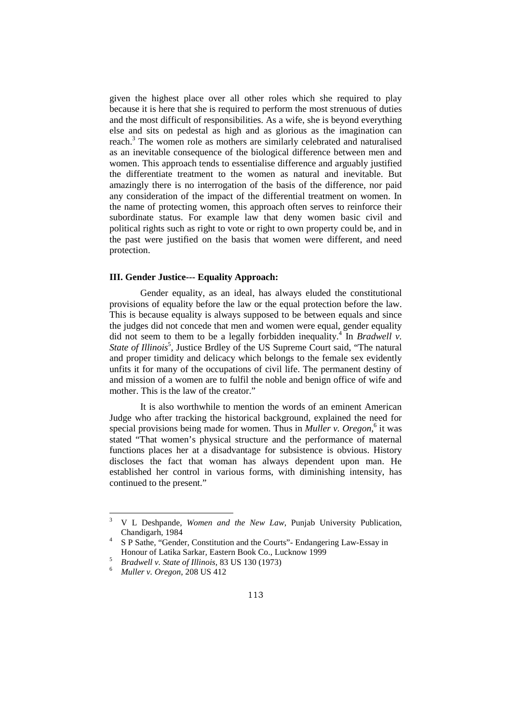given the highest place over all other roles which she required to play because it is here that she is required to perform the most strenuous of duties and the most difficult of responsibilities. As a wife, she is beyond everything else and sits on pedestal as high and as glorious as the imagination can reach.<sup>3</sup> The women role as mothers are similarly celebrated and naturalised as an inevitable consequence of the biological difference between men and women. This approach tends to essentialise difference and arguably justified the differentiate treatment to the women as natural and inevitable. But amazingly there is no interrogation of the basis of the difference, nor paid any consideration of the impact of the differential treatment on women. In the name of protecting women, this approach often serves to reinforce their subordinate status. For example law that deny women basic civil and political rights such as right to vote or right to own property could be, and in the past were justified on the basis that women were different, and need protection.

# **III. Gender Justice--- Equality Approach:**

Gender equality, as an ideal, has always eluded the constitutional provisions of equality before the law or the equal protection before the law. This is because equality is always supposed to be between equals and since the judges did not concede that men and women were equal, gender equality did not seem to them to be a legally forbidden inequality.<sup>4</sup> In *Bradwell v*. State of Illinois<sup>5</sup>, Justice Brdley of the US Supreme Court said, "The natural and proper timidity and delicacy which belongs to the female sex evidently unfits it for many of the occupations of civil life. The permanent destiny of and mission of a women are to fulfil the noble and benign office of wife and mother. This is the law of the creator."

It is also worthwhile to mention the words of an eminent American Judge who after tracking the historical background, explained the need for special provisions being made for women. Thus in *Muller v. Oregon*,<sup>6</sup> it was stated "That women's physical structure and the performance of maternal functions places her at a disadvantage for subsistence is obvious. History discloses the fact that woman has always dependent upon man. He established her control in various forms, with diminishing intensity, has continued to the present."

<sup>3</sup> V L Deshpande, *Women and the New Law*, Punjab University Publication, Chandigarh, 1984

<sup>4</sup> S P Sathe, "Gender, Constitution and the Courts"- Endangering Law-Essay in Honour of Latika Sarkar, Eastern Book Co., Lucknow 1999

<sup>5</sup> *Bradwell v. State of Illinois*, 83 US 130 (1973)

<sup>6</sup> *Muller v. Oregon*, 208 US 412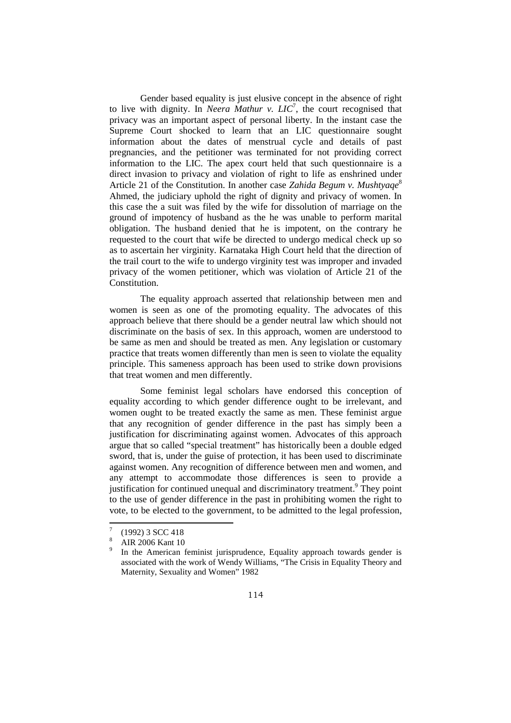Gender based equality is just elusive concept in the absence of right to live with dignity. In *Neera Mathur v. LIC*<sup>7</sup>, the court recognised that privacy was an important aspect of personal liberty. In the instant case the Supreme Court shocked to learn that an LIC questionnaire sought information about the dates of menstrual cycle and details of past pregnancies, and the petitioner was terminated for not providing correct information to the LIC. The apex court held that such questionnaire is a direct invasion to privacy and violation of right to life as enshrined under Article 21 of the Constitution. In another case *Zahida Begum v. Mushtyaqe*<sup>8</sup> Ahmed, the judiciary uphold the right of dignity and privacy of women. In this case the a suit was filed by the wife for dissolution of marriage on the ground of impotency of husband as the he was unable to perform marital obligation. The husband denied that he is impotent, on the contrary he requested to the court that wife be directed to undergo medical check up so as to ascertain her virginity. Karnataka High Court held that the direction of the trail court to the wife to undergo virginity test was improper and invaded privacy of the women petitioner, which was violation of Article 21 of the Constitution.

The equality approach asserted that relationship between men and women is seen as one of the promoting equality. The advocates of this approach believe that there should be a gender neutral law which should not discriminate on the basis of sex. In this approach, women are understood to be same as men and should be treated as men. Any legislation or customary practice that treats women differently than men is seen to violate the equality principle. This sameness approach has been used to strike down provisions that treat women and men differently.

Some feminist legal scholars have endorsed this conception of equality according to which gender difference ought to be irrelevant, and women ought to be treated exactly the same as men. These feminist argue that any recognition of gender difference in the past has simply been a justification for discriminating against women. Advocates of this approach argue that so called "special treatment" has historically been a double edged sword, that is, under the guise of protection, it has been used to discriminate against women. Any recognition of difference between men and women, and any attempt to accommodate those differences is seen to provide a justification for continued unequal and discriminatory treatment.<sup>9</sup> They point to the use of gender difference in the past in prohibiting women the right to vote, to be elected to the government, to be admitted to the legal profession,

 $\overline{a}$ 

<sup>7</sup> (1992) 3 SCC 418

<sup>8</sup> AIR 2006 Kant 10

<sup>9</sup> In the American feminist jurisprudence, Equality approach towards gender is associated with the work of Wendy Williams, "The Crisis in Equality Theory and Maternity, Sexuality and Women" 1982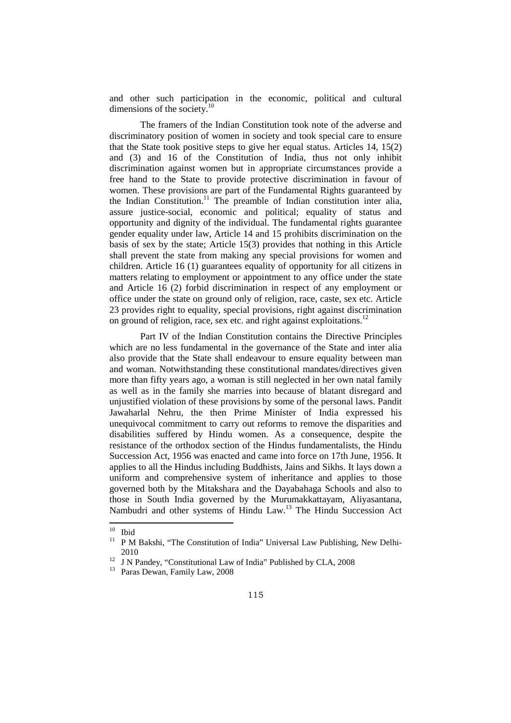and other such participation in the economic, political and cultural dimensions of the society.<sup>10</sup>

The framers of the Indian Constitution took note of the adverse and discriminatory position of women in society and took special care to ensure that the State took positive steps to give her equal status. Articles 14, 15(2) and (3) and 16 of the Constitution of India, thus not only inhibit discrimination against women but in appropriate circumstances provide a free hand to the State to provide protective discrimination in favour of women. These provisions are part of the Fundamental Rights guaranteed by the Indian Constitution.<sup>11</sup> The preamble of Indian constitution inter alia, assure justice-social, economic and political; equality of status and opportunity and dignity of the individual. The fundamental rights guarantee gender equality under law, Article 14 and 15 prohibits discrimination on the basis of sex by the state; Article 15(3) provides that nothing in this Article shall prevent the state from making any special provisions for women and children. Article 16 (1) guarantees equality of opportunity for all citizens in matters relating to employment or appointment to any office under the state and Article 16 (2) forbid discrimination in respect of any employment or office under the state on ground only of religion, race, caste, sex etc. Article 23 provides right to equality, special provisions, right against discrimination on ground of religion, race, sex etc. and right against exploitations.<sup>12</sup>

Part IV of the Indian Constitution contains the Directive Principles which are no less fundamental in the governance of the State and inter alia also provide that the State shall endeavour to ensure equality between man and woman. Notwithstanding these constitutional mandates/directives given more than fifty years ago, a woman is still neglected in her own natal family as well as in the family she marries into because of blatant disregard and unjustified violation of these provisions by some of the personal laws. Pandit Jawaharlal Nehru, the then Prime Minister of India expressed his unequivocal commitment to carry out reforms to remove the disparities and disabilities suffered by Hindu women. As a consequence, despite the resistance of the orthodox section of the Hindus fundamentalists, the Hindu Succession Act, 1956 was enacted and came into force on 17th June, 1956. It applies to all the Hindus including Buddhists, Jains and Sikhs. It lays down a uniform and comprehensive system of inheritance and applies to those governed both by the Mitakshara and the Dayabahaga Schools and also to those in South India governed by the Murumakkattayam, Aliyasantana, Nambudri and other systems of Hindu Law.<sup>13</sup> The Hindu Succession Act  $\overline{a}$ 

 $\frac{10}{11}$  Ibid

<sup>11</sup> P M Bakshi, "The Constitution of India" Universal Law Publishing, New Delhi-2010

<sup>&</sup>lt;sup>12</sup> J N Pandey, "Constitutional Law of India" Published by CLA, 2008

<sup>13</sup> Paras Dewan, Family Law, 2008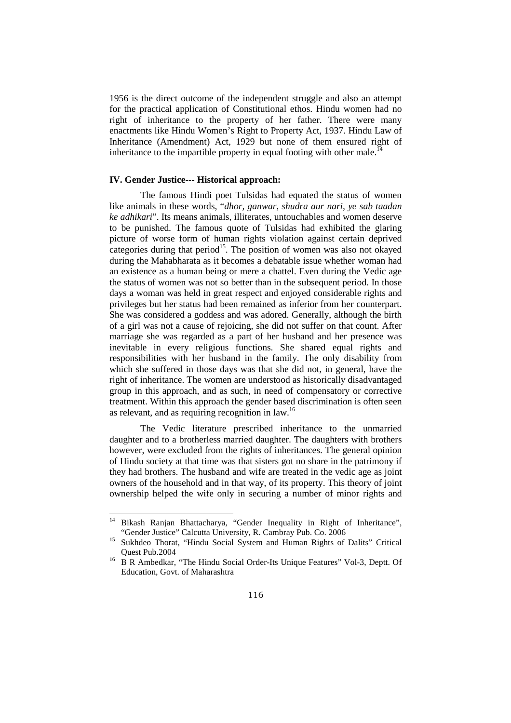1956 is the direct outcome of the independent struggle and also an attempt for the practical application of Constitutional ethos. Hindu women had no right of inheritance to the property of her father. There were many enactments like Hindu Women's Right to Property Act, 1937. Hindu Law of Inheritance (Amendment) Act, 1929 but none of them ensured right of inheritance to the impartible property in equal footing with other male.<sup>14</sup>

#### **IV. Gender Justice--- Historical approach:**

The famous Hindi poet Tulsidas had equated the status of women like animals in these words, "*dhor, ganwar, shudra aur nari, ye sab taadan ke adhikari*". Its means animals, illiterates, untouchables and women deserve to be punished. The famous quote of Tulsidas had exhibited the glaring picture of worse form of human rights violation against certain deprived categories during that period<sup>15</sup>. The position of women was also not okayed during the Mahabharata as it becomes a debatable issue whether woman had an existence as a human being or mere a chattel. Even during the Vedic age the status of women was not so better than in the subsequent period. In those days a woman was held in great respect and enjoyed considerable rights and privileges but her status had been remained as inferior from her counterpart. She was considered a goddess and was adored. Generally, although the birth of a girl was not a cause of rejoicing, she did not suffer on that count. After marriage she was regarded as a part of her husband and her presence was inevitable in every religious functions. She shared equal rights and responsibilities with her husband in the family. The only disability from which she suffered in those days was that she did not, in general, have the right of inheritance. The women are understood as historically disadvantaged group in this approach, and as such, in need of compensatory or corrective treatment. Within this approach the gender based discrimination is often seen as relevant, and as requiring recognition in law.<sup>16</sup>

The Vedic literature prescribed inheritance to the unmarried daughter and to a brotherless married daughter. The daughters with brothers however, were excluded from the rights of inheritances. The general opinion of Hindu society at that time was that sisters got no share in the patrimony if they had brothers. The husband and wife are treated in the vedic age as joint owners of the household and in that way, of its property. This theory of joint ownership helped the wife only in securing a number of minor rights and

<sup>&</sup>lt;sup>14</sup> Bikash Ranjan Bhattacharya, "Gender Inequality in Right of Inheritance", "Gender Justice" Calcutta University, R. Cambray Pub. Co. 2006

<sup>&</sup>lt;sup>15</sup> Sukhdeo Thorat, "Hindu Social System and Human Rights of Dalits" Critical Quest Pub.2004

<sup>&</sup>lt;sup>16</sup> B R Ambedkar, "The Hindu Social Order-Its Unique Features" Vol-3, Deptt. Of Education, Govt. of Maharashtra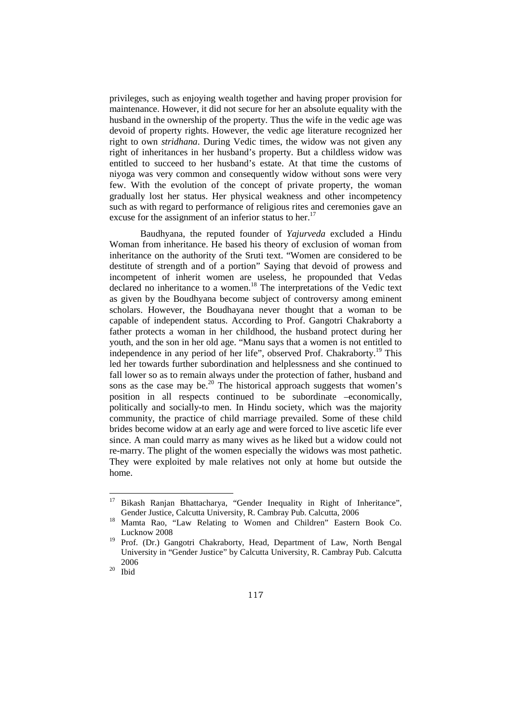privileges, such as enjoying wealth together and having proper provision for maintenance. However, it did not secure for her an absolute equality with the husband in the ownership of the property. Thus the wife in the vedic age was devoid of property rights. However, the vedic age literature recognized her right to own *stridhana*. During Vedic times, the widow was not given any right of inheritances in her husband's property. But a childless widow was entitled to succeed to her husband's estate. At that time the customs of niyoga was very common and consequently widow without sons were very few. With the evolution of the concept of private property, the woman gradually lost her status. Her physical weakness and other incompetency such as with regard to performance of religious rites and ceremonies gave an excuse for the assignment of an inferior status to her.<sup>17</sup>

Baudhyana, the reputed founder of *Yajurveda* excluded a Hindu Woman from inheritance. He based his theory of exclusion of woman from inheritance on the authority of the Sruti text. "Women are considered to be destitute of strength and of a portion" Saying that devoid of prowess and incompetent of inherit women are useless, he propounded that Vedas declared no inheritance to a women.<sup>18</sup> The interpretations of the Vedic text as given by the Boudhyana become subject of controversy among eminent scholars. However, the Boudhayana never thought that a woman to be capable of independent status. According to Prof. Gangotri Chakraborty a father protects a woman in her childhood, the husband protect during her youth, and the son in her old age. "Manu says that a women is not entitled to independence in any period of her life", observed Prof. Chakraborty.<sup>19</sup> This led her towards further subordination and helplessness and she continued to fall lower so as to remain always under the protection of father, husband and sons as the case may be.<sup>20</sup> The historical approach suggests that women's position in all respects continued to be subordinate –economically, politically and socially-to men. In Hindu society, which was the majority community, the practice of child marriage prevailed. Some of these child brides become widow at an early age and were forced to live ascetic life ever since. A man could marry as many wives as he liked but a widow could not re-marry. The plight of the women especially the widows was most pathetic. They were exploited by male relatives not only at home but outside the home.

<sup>&</sup>lt;sup>17</sup> Bikash Ranjan Bhattacharya, "Gender Inequality in Right of Inheritance", Gender Justice, Calcutta University, R. Cambray Pub. Calcutta, 2006

<sup>&</sup>lt;sup>18</sup> Mamta Rao, "Law Relating to Women and Children" Eastern Book Co. Lucknow 2008

<sup>&</sup>lt;sup>19</sup> Prof. (Dr.) Gangotri Chakraborty, Head, Department of Law, North Bengal University in "Gender Justice" by Calcutta University, R. Cambray Pub. Calcutta 2006

 $^{20}$  Ibid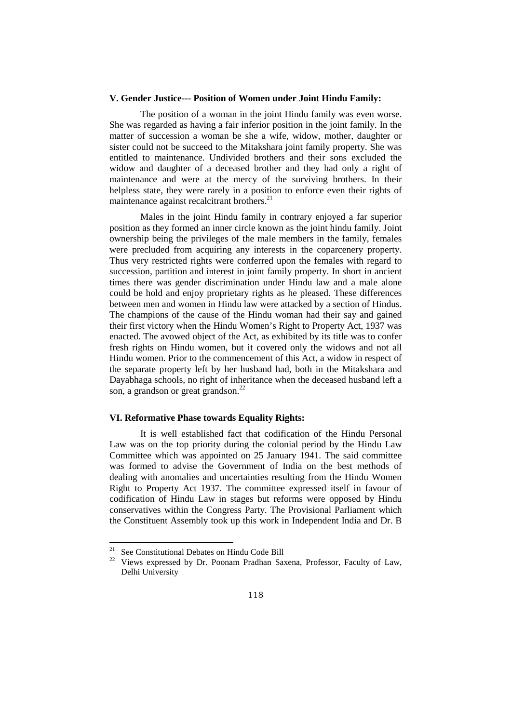#### **V. Gender Justice--- Position of Women under Joint Hindu Family:**

The position of a woman in the joint Hindu family was even worse. She was regarded as having a fair inferior position in the joint family. In the matter of succession a woman be she a wife, widow, mother, daughter or sister could not be succeed to the Mitakshara joint family property. She was entitled to maintenance. Undivided brothers and their sons excluded the widow and daughter of a deceased brother and they had only a right of maintenance and were at the mercy of the surviving brothers. In their helpless state, they were rarely in a position to enforce even their rights of maintenance against recalcitrant brothers.<sup>21</sup>

Males in the joint Hindu family in contrary enjoyed a far superior position as they formed an inner circle known as the joint hindu family. Joint ownership being the privileges of the male members in the family, females were precluded from acquiring any interests in the coparcenery property. Thus very restricted rights were conferred upon the females with regard to succession, partition and interest in joint family property. In short in ancient times there was gender discrimination under Hindu law and a male alone could be hold and enjoy proprietary rights as he pleased. These differences between men and women in Hindu law were attacked by a section of Hindus. The champions of the cause of the Hindu woman had their say and gained their first victory when the Hindu Women's Right to Property Act, 1937 was enacted. The avowed object of the Act, as exhibited by its title was to confer fresh rights on Hindu women, but it covered only the widows and not all Hindu women. Prior to the commencement of this Act, a widow in respect of the separate property left by her husband had, both in the Mitakshara and Dayabhaga schools, no right of inheritance when the deceased husband left a son, a grandson or great grandson.<sup>22</sup>

# **VI. Reformative Phase towards Equality Rights:**

It is well established fact that codification of the Hindu Personal Law was on the top priority during the colonial period by the Hindu Law Committee which was appointed on 25 January 1941. The said committee was formed to advise the Government of India on the best methods of dealing with anomalies and uncertainties resulting from the Hindu Women Right to Property Act 1937. The committee expressed itself in favour of codification of Hindu Law in stages but reforms were opposed by Hindu conservatives within the Congress Party. The Provisional Parliament which the Constituent Assembly took up this work in Independent India and Dr. B

 $21$  See Constitutional Debates on Hindu Code Bill

Views expressed by Dr. Poonam Pradhan Saxena, Professor, Faculty of Law, Delhi University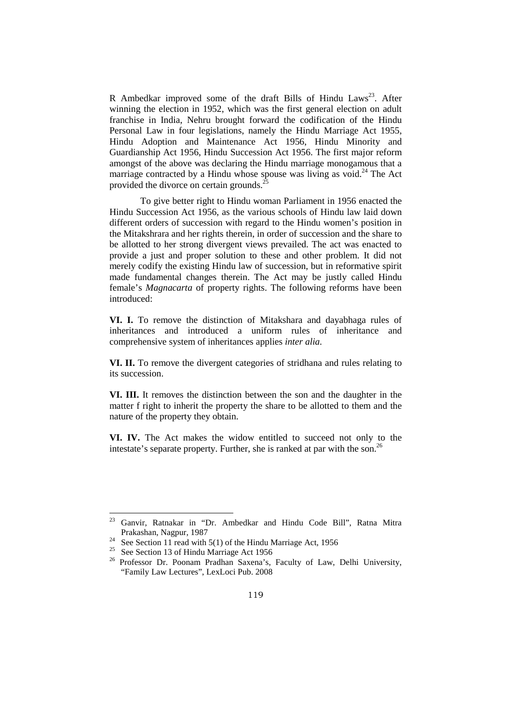R Ambedkar improved some of the draft Bills of Hindu Laws<sup>23</sup>. After winning the election in 1952, which was the first general election on adult franchise in India, Nehru brought forward the codification of the Hindu Personal Law in four legislations, namely the Hindu Marriage Act 1955, Hindu Adoption and Maintenance Act 1956, Hindu Minority and Guardianship Act 1956, Hindu Succession Act 1956. The first major reform amongst of the above was declaring the Hindu marriage monogamous that a marriage contracted by a Hindu whose spouse was living as void. $^{24}$  The Act provided the divorce on certain grounds. $^{25}$ 

To give better right to Hindu woman Parliament in 1956 enacted the Hindu Succession Act 1956, as the various schools of Hindu law laid down different orders of succession with regard to the Hindu women's position in the Mitakshrara and her rights therein, in order of succession and the share to be allotted to her strong divergent views prevailed. The act was enacted to provide a just and proper solution to these and other problem. It did not merely codify the existing Hindu law of succession, but in reformative spirit made fundamental changes therein. The Act may be justly called Hindu female's *Magnacarta* of property rights. The following reforms have been introduced:

**VI. I.** To remove the distinction of Mitakshara and dayabhaga rules of inheritances and introduced a uniform rules of inheritance and comprehensive system of inheritances applies *inter alia.* 

**VI. II.** To remove the divergent categories of stridhana and rules relating to its succession.

**VI. III.** It removes the distinction between the son and the daughter in the matter f right to inherit the property the share to be allotted to them and the nature of the property they obtain.

**VI. IV.** The Act makes the widow entitled to succeed not only to the intestate's separate property. Further, she is ranked at par with the son.<sup>26</sup>

<sup>23</sup> Ganvir, Ratnakar in "Dr. Ambedkar and Hindu Code Bill", Ratna Mitra Prakashan, Nagpur, 1987

 $24$  See Section 11 read with 5(1) of the Hindu Marriage Act, 1956

<sup>&</sup>lt;sup>25</sup> See Section 13 of Hindu Marriage Act 1956

<sup>&</sup>lt;sup>26</sup> Professor Dr. Poonam Pradhan Saxena's, Faculty of Law, Delhi University, "Family Law Lectures", LexLoci Pub. 2008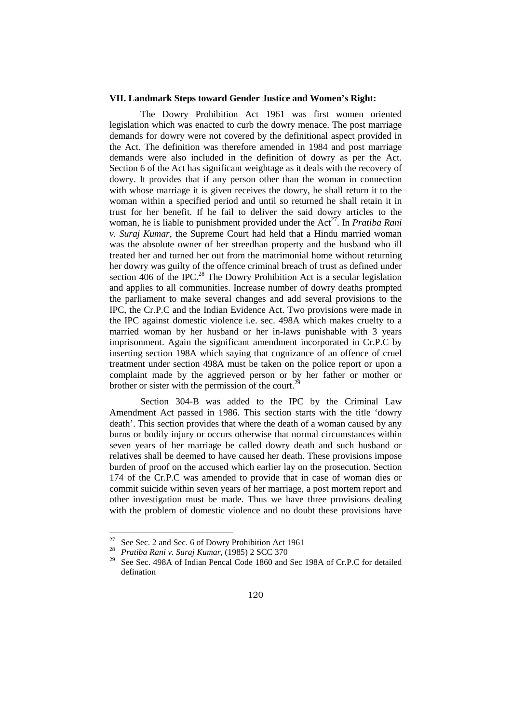#### **VII. Landmark Steps toward Gender Justice and Women's Right:**

The Dowry Prohibition Act 1961 was first women oriented legislation which was enacted to curb the dowry menace. The post marriage demands for dowry were not covered by the definitional aspect provided in the Act. The definition was therefore amended in 1984 and post marriage demands were also included in the definition of dowry as per the Act. Section 6 of the Act has significant weightage as it deals with the recovery of dowry. It provides that if any person other than the woman in connection with whose marriage it is given receives the dowry, he shall return it to the woman within a specified period and until so returned he shall retain it in trust for her benefit. If he fail to deliver the said dowry articles to the woman, he is liable to punishment provided under the Act<sup>27</sup>. In *Pratiba Rani v. Suraj Kumar*, the Supreme Court had held that a Hindu married woman was the absolute owner of her streedhan property and the husband who ill treated her and turned her out from the matrimonial home without returning her dowry was guilty of the offence criminal breach of trust as defined under section  $406$  of the IPC.<sup>28</sup> The Dowry Prohibition Act is a secular legislation and applies to all communities. Increase number of dowry deaths prompted the parliament to make several changes and add several provisions to the IPC, the Cr.P.C and the Indian Evidence Act. Two provisions were made in the IPC against domestic violence i.e. sec. 498A which makes cruelty to a married woman by her husband or her in-laws punishable with 3 years imprisonment. Again the significant amendment incorporated in Cr.P.C by inserting section 198A which saying that cognizance of an offence of cruel treatment under section 498A must be taken on the police report or upon a complaint made by the aggrieved person or by her father or mother or brother or sister with the permission of the court.<sup>2</sup>

Section 304-B was added to the IPC by the Criminal Law Amendment Act passed in 1986. This section starts with the title 'dowry death'. This section provides that where the death of a woman caused by any burns or bodily injury or occurs otherwise that normal circumstances within seven years of her marriage be called dowry death and such husband or relatives shall be deemed to have caused her death. These provisions impose burden of proof on the accused which earlier lay on the prosecution. Section 174 of the Cr.P.C was amended to provide that in case of woman dies or commit suicide within seven years of her marriage, a post mortem report and other investigation must be made. Thus we have three provisions dealing with the problem of domestic violence and no doubt these provisions have

 $\overline{a}$ 

<sup>&</sup>lt;sup>27</sup> See Sec. 2 and Sec. 6 of Dowry Prohibition Act 1961

<sup>28</sup> *Pratiba Rani v. Suraj Kumar*, (1985) 2 SCC 370

See Sec. 498A of Indian Pencal Code 1860 and Sec 198A of Cr.P.C for detailed defination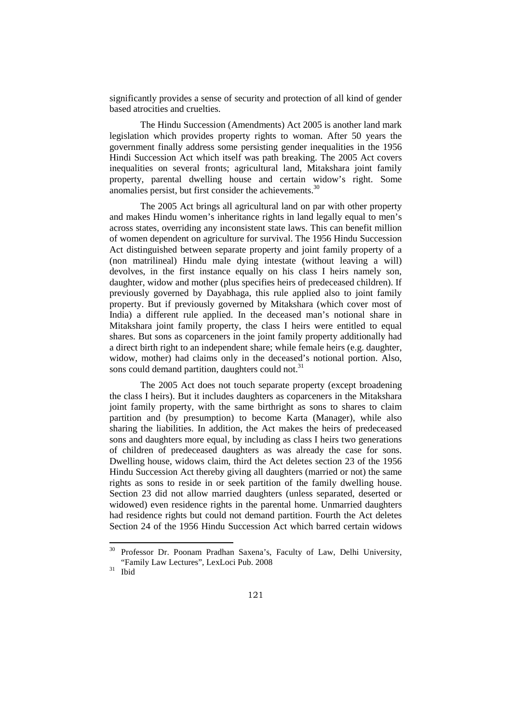significantly provides a sense of security and protection of all kind of gender based atrocities and cruelties.

The Hindu Succession (Amendments) Act 2005 is another land mark legislation which provides property rights to woman. After 50 years the government finally address some persisting gender inequalities in the 1956 Hindi Succession Act which itself was path breaking. The 2005 Act covers inequalities on several fronts; agricultural land, Mitakshara joint family property, parental dwelling house and certain widow's right. Some anomalies persist, but first consider the achievements.<sup>30</sup>

The 2005 Act brings all agricultural land on par with other property and makes Hindu women's inheritance rights in land legally equal to men's across states, overriding any inconsistent state laws. This can benefit million of women dependent on agriculture for survival. The 1956 Hindu Succession Act distinguished between separate property and joint family property of a (non matrilineal) Hindu male dying intestate (without leaving a will) devolves, in the first instance equally on his class I heirs namely son, daughter, widow and mother (plus specifies heirs of predeceased children). If previously governed by Dayabhaga, this rule applied also to joint family property. But if previously governed by Mitakshara (which cover most of India) a different rule applied. In the deceased man's notional share in Mitakshara joint family property, the class I heirs were entitled to equal shares. But sons as coparceners in the joint family property additionally had a direct birth right to an independent share; while female heirs (e.g. daughter, widow, mother) had claims only in the deceased's notional portion. Also, sons could demand partition, daughters could not. $31$ 

The 2005 Act does not touch separate property (except broadening the class I heirs). But it includes daughters as coparceners in the Mitakshara joint family property, with the same birthright as sons to shares to claim partition and (by presumption) to become Karta (Manager), while also sharing the liabilities. In addition, the Act makes the heirs of predeceased sons and daughters more equal, by including as class I heirs two generations of children of predeceased daughters as was already the case for sons. Dwelling house, widows claim, third the Act deletes section 23 of the 1956 Hindu Succession Act thereby giving all daughters (married or not) the same rights as sons to reside in or seek partition of the family dwelling house. Section 23 did not allow married daughters (unless separated, deserted or widowed) even residence rights in the parental home. Unmarried daughters had residence rights but could not demand partition. Fourth the Act deletes Section 24 of the 1956 Hindu Succession Act which barred certain widows

<sup>&</sup>lt;sup>30</sup> Professor Dr. Poonam Pradhan Saxena's, Faculty of Law, Delhi University, "Family Law Lectures", LexLoci Pub. 2008

 $31$  Ibid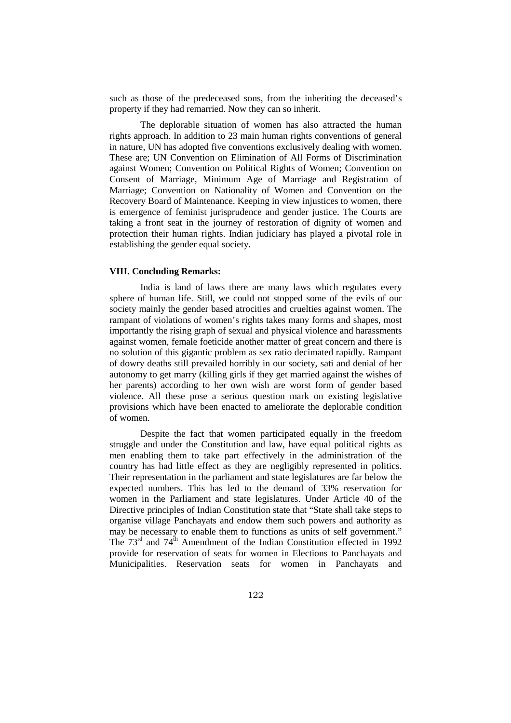such as those of the predeceased sons, from the inheriting the deceased's property if they had remarried. Now they can so inherit.

The deplorable situation of women has also attracted the human rights approach. In addition to 23 main human rights conventions of general in nature, UN has adopted five conventions exclusively dealing with women. These are; UN Convention on Elimination of All Forms of Discrimination against Women; Convention on Political Rights of Women; Convention on Consent of Marriage, Minimum Age of Marriage and Registration of Marriage; Convention on Nationality of Women and Convention on the Recovery Board of Maintenance. Keeping in view injustices to women, there is emergence of feminist jurisprudence and gender justice. The Courts are taking a front seat in the journey of restoration of dignity of women and protection their human rights. Indian judiciary has played a pivotal role in establishing the gender equal society.

## **VIII. Concluding Remarks:**

India is land of laws there are many laws which regulates every sphere of human life. Still, we could not stopped some of the evils of our society mainly the gender based atrocities and cruelties against women. The rampant of violations of women's rights takes many forms and shapes, most importantly the rising graph of sexual and physical violence and harassments against women, female foeticide another matter of great concern and there is no solution of this gigantic problem as sex ratio decimated rapidly. Rampant of dowry deaths still prevailed horribly in our society, sati and denial of her autonomy to get marry (killing girls if they get married against the wishes of her parents) according to her own wish are worst form of gender based violence. All these pose a serious question mark on existing legislative provisions which have been enacted to ameliorate the deplorable condition of women.

Despite the fact that women participated equally in the freedom struggle and under the Constitution and law, have equal political rights as men enabling them to take part effectively in the administration of the country has had little effect as they are negligibly represented in politics. Their representation in the parliament and state legislatures are far below the expected numbers. This has led to the demand of 33% reservation for women in the Parliament and state legislatures. Under Article 40 of the Directive principles of Indian Constitution state that "State shall take steps to organise village Panchayats and endow them such powers and authority as may be necessary to enable them to functions as units of self government." The  $73<sup>rd</sup>$  and  $74<sup>th</sup>$  Amendment of the Indian Constitution effected in 1992 provide for reservation of seats for women in Elections to Panchayats and Municipalities. Reservation seats for women in Panchayats and